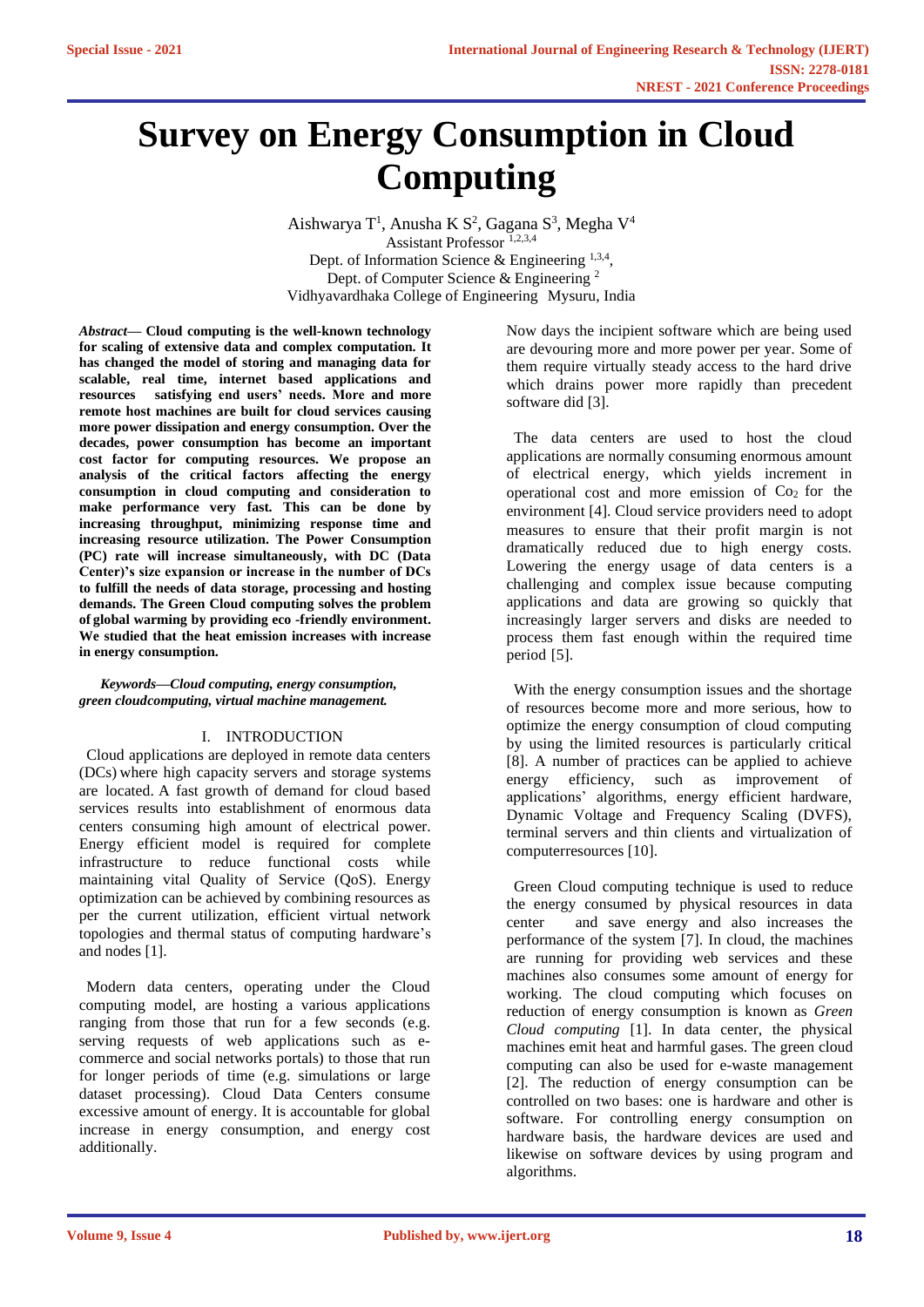# **Survey on Energy Consumption in Cloud Computing**

Aishwarya T<sup>1</sup>, Anusha K S<sup>2</sup>, Gagana S<sup>3</sup>, Megha V<sup>4</sup> Assistant Professor<sup>1,2,3,4</sup> Dept. of Information Science  $\&$  Engineering  $^{1,3,4}$ , Dept. of Computer Science & Engineering <sup>2</sup> Vidhyavardhaka College of Engineering Mysuru, India

*Abstract***— Cloud computing is the well-known technology for scaling of extensive data and complex computation. It has changed the model of storing and managing data for scalable, real time, internet based applications and resources satisfying end users' needs. More and more remote host machines are built for cloud services causing more power dissipation and energy consumption. Over the decades, power consumption has become an important cost factor for computing resources. We propose an analysis of the critical factors affecting the energy consumption in cloud computing and consideration to make performance very fast. This can be done by increasing throughput, minimizing response time and increasing resource utilization. The Power Consumption (PC) rate will increase simultaneously, with DC (Data Center)'s size expansion or increase in the number of DCs to fulfill the needs of data storage, processing and hosting demands. The Green Cloud computing solves the problem of global warming by providing eco -friendly environment. We studied that the heat emission increases with increase in energy consumption.**

#### *Keywords—Cloud computing, energy consumption, green cloudcomputing, virtual machine management.*

## I. INTRODUCTION

Cloud applications are deployed in remote data centers (DCs) where high capacity servers and storage systems are located. A fast growth of demand for cloud based services results into establishment of enormous data centers consuming high amount of electrical power. Energy efficient model is required for complete infrastructure to reduce functional costs while maintaining vital Quality of Service (QoS). Energy optimization can be achieved by combining resources as per the current utilization, efficient virtual network topologies and thermal status of computing hardware's and nodes [1].

Modern data centers, operating under the Cloud computing model, are hosting a various applications ranging from those that run for a few seconds (e.g. serving requests of web applications such as ecommerce and social networks portals) to those that run for longer periods of time (e.g. simulations or large dataset processing). Cloud Data Centers consume excessive amount of energy. It is accountable for global increase in energy consumption, and energy cost additionally.

Now days the incipient software which are being used are devouring more and more power per year. Some of them require virtually steady access to the hard drive which drains power more rapidly than precedent software did [3].

The data centers are used to host the cloud applications are normally consuming enormous amount of electrical energy, which yields increment in operational cost and more emission of  $Co<sub>2</sub>$  for the environment [4]. Cloud service providers need to adopt measures to ensure that their profit margin is not dramatically reduced due to high energy costs. Lowering the energy usage of data centers is a challenging and complex issue because computing applications and data are growing so quickly that increasingly larger servers and disks are needed to process them fast enough within the required time period [5].

With the energy consumption issues and the shortage of resources become more and more serious, how to optimize the energy consumption of cloud computing by using the limited resources is particularly critical [8]. A number of practices can be applied to achieve energy efficiency, such as improvement of applications' algorithms, energy efficient hardware, Dynamic Voltage and Frequency Scaling (DVFS), terminal servers and thin clients and virtualization of computerresources [10].

Green Cloud computing technique is used to reduce the energy consumed by physical resources in data center and save energy and also increases the performance of the system [7]. In cloud, the machines are running for providing web services and these machines also consumes some amount of energy for working. The cloud computing which focuses on reduction of energy consumption is known as *Green Cloud computing* [1]. In data center, the physical machines emit heat and harmful gases. The green cloud computing can also be used for e-waste management [2]. The reduction of energy consumption can be controlled on two bases: one is hardware and other is software. For controlling energy consumption on hardware basis, the hardware devices are used and likewise on software devices by using program and algorithms.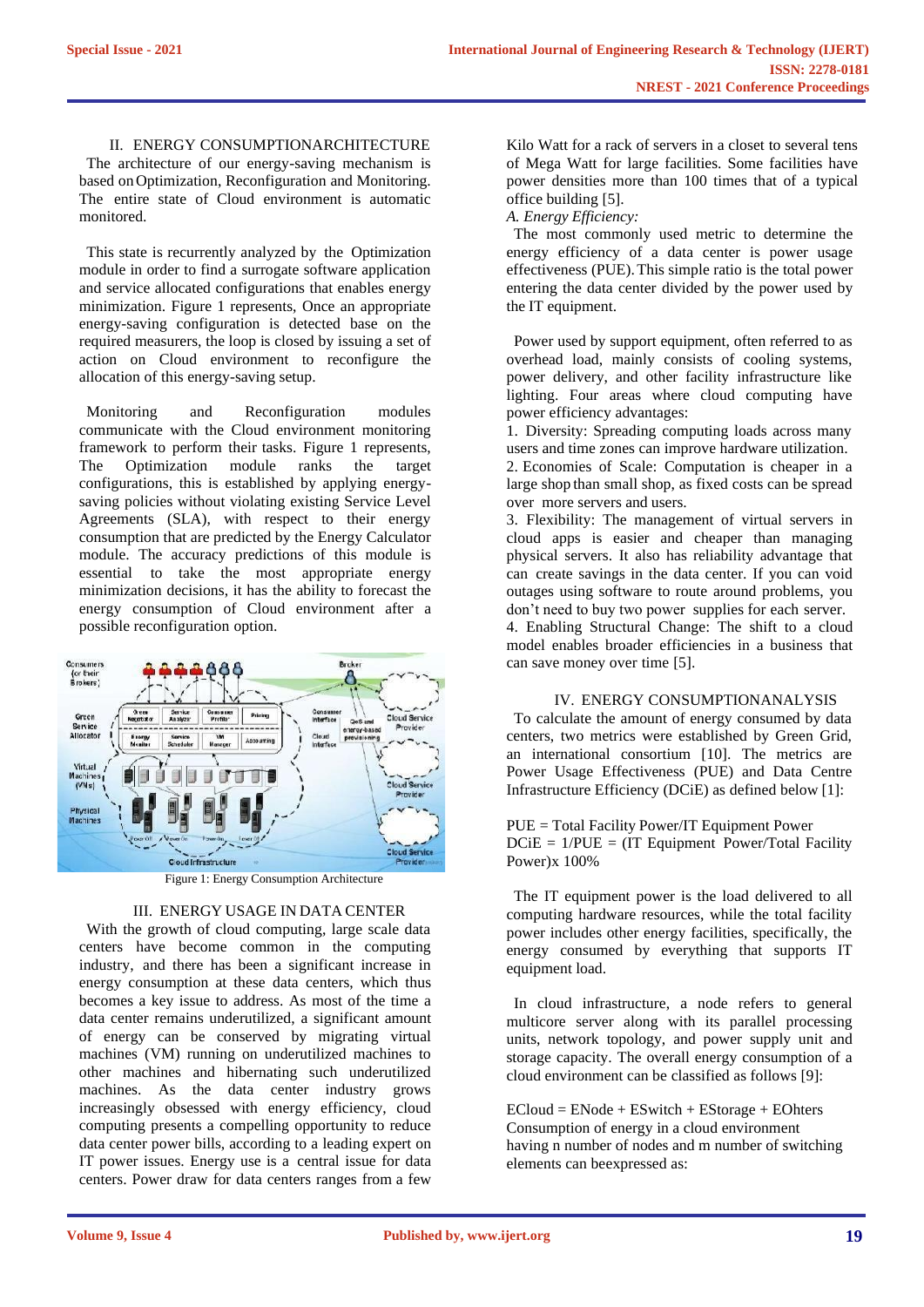II. ENERGY CONSUMPTIONARCHITECTURE

The architecture of our energy-saving mechanism is based onOptimization, Reconfiguration and Monitoring. The entire state of Cloud environment is automatic monitored.

This state is recurrently analyzed by the Optimization module in order to find a surrogate software application and service allocated configurations that enables energy minimization. Figure 1 represents, Once an appropriate energy-saving configuration is detected base on the required measurers, the loop is closed by issuing a set of action on Cloud environment to reconfigure the allocation of this energy-saving setup.

Monitoring and Reconfiguration modules communicate with the Cloud environment monitoring framework to perform their tasks. Figure 1 represents, The Optimization module ranks the target configurations, this is established by applying energysaving policies without violating existing Service Level Agreements (SLA), with respect to their energy consumption that are predicted by the Energy Calculator module. The accuracy predictions of this module is essential to take the most appropriate energy minimization decisions, it has the ability to forecast the energy consumption of Cloud environment after a possible reconfiguration option.



Figure 1: Energy Consumption Architecture

## III. ENERGY USAGE IN DATA CENTER

With the growth of cloud computing, large scale data centers have become common in the computing industry, and there has been a significant increase in energy consumption at these data centers, which thus becomes a key issue to address. As most of the time a data center remains underutilized, a significant amount of energy can be conserved by migrating virtual machines (VM) running on underutilized machines to other machines and hibernating such underutilized machines. As the data center industry grows increasingly obsessed with energy efficiency, cloud computing presents a compelling opportunity to reduce data center power bills, according to a leading expert on IT power issues. Energy use is a central issue for data centers. Power draw for data centers ranges from a few

Kilo Watt for a rack of servers in a closet to several tens of Mega Watt for large facilities. Some facilities have power densities more than 100 times that of a typical office building [5].

*A. Energy Efficiency:*

The most commonly used metric to determine the energy efficiency of a data center is power usage effectiveness (PUE).This simple ratio is the total power entering the data center divided by the power used by the IT equipment.

Power used by support equipment, often referred to as overhead load, mainly consists of cooling systems, power delivery, and other facility infrastructure like lighting. Four areas where cloud computing have power efficiency advantages:

1. Diversity: Spreading computing loads across many users and time zones can improve hardware utilization. 2. Economies of Scale: Computation is cheaper in a large shop than small shop, as fixed costs can be spread over more servers and users.

3. Flexibility: The management of virtual servers in cloud apps is easier and cheaper than managing physical servers. It also has reliability advantage that can create savings in the data center. If you can void outages using software to route around problems, you don't need to buy two power supplies for each server.

4. Enabling Structural Change: The shift to a cloud model enables broader efficiencies in a business that can save money over time [5].

#### IV. ENERGY CONSUMPTIONANALYSIS

To calculate the amount of energy consumed by data centers, two metrics were established by Green Grid, an international consortium [10]. The metrics are Power Usage Effectiveness (PUE) and Data Centre Infrastructure Efficiency (DCiE) as defined below [1]:

PUE = Total Facility Power/IT Equipment Power  $DCiE = 1/PUE = (IT Equipment Power/Total Facility)$ Power)x 100%

The IT equipment power is the load delivered to all computing hardware resources, while the total facility power includes other energy facilities, specifically, the energy consumed by everything that supports IT equipment load.

In cloud infrastructure, a node refers to general multicore server along with its parallel processing units, network topology, and power supply unit and storage capacity. The overall energy consumption of a cloud environment can be classified as follows [9]:

ECloud = ENode + ESwitch + EStorage + EOhters Consumption of energy in a cloud environment having n number of nodes and m number of switching elements can beexpressed as: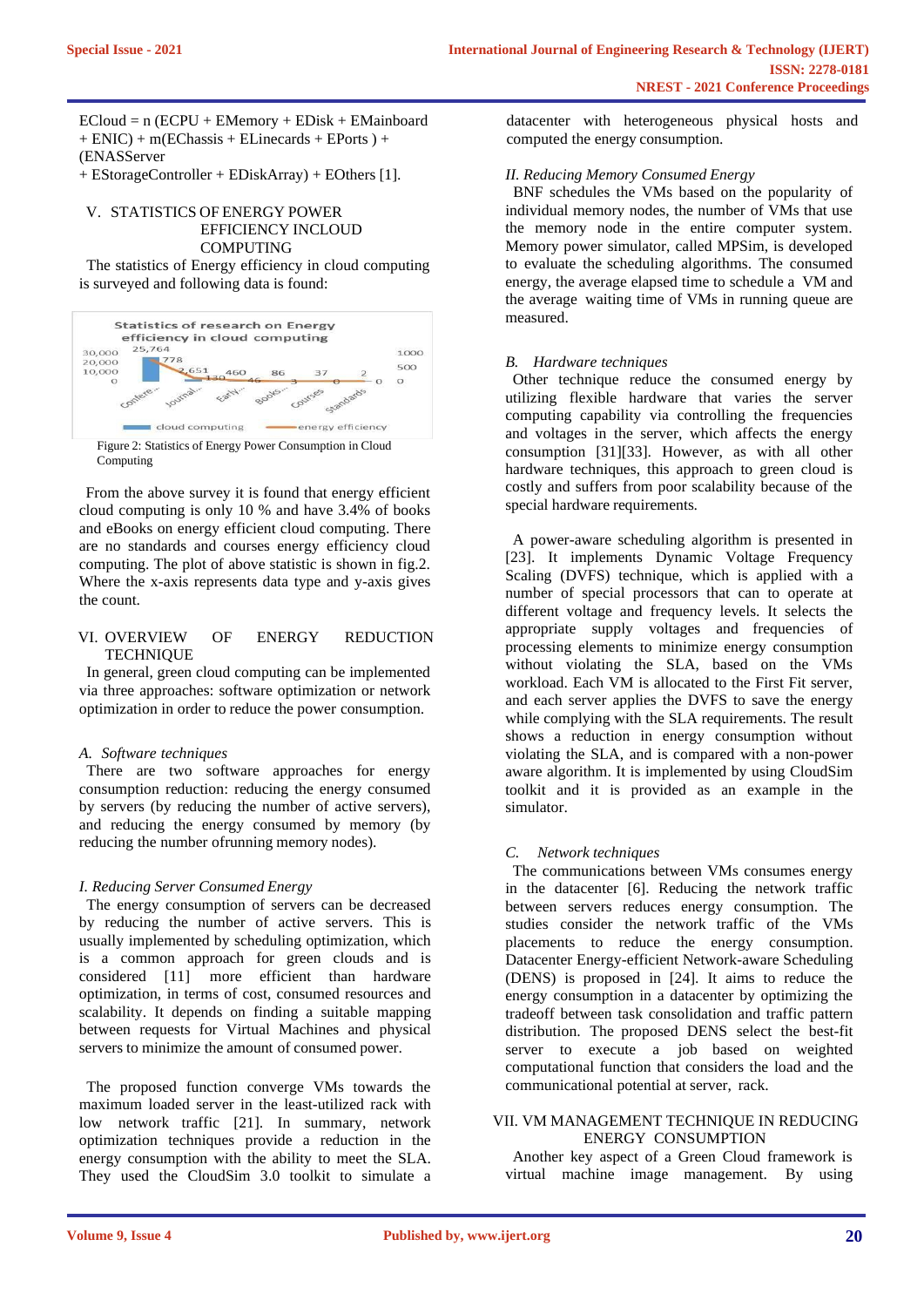$ECIoud = n (ECPU + EMemory + EDisk + EMainboard)$ + ENIC) + m(EChassis + ELinecards + EPorts ) + (ENASServer

+ EStorageController + EDiskArray) + EOthers [1].

#### V. STATISTICS OF ENERGY POWER EFFICIENCY INCLOUD COMPUTING

The statistics of Energy efficiency in cloud computing is surveyed and following data is found:



Figure 2: Statistics of Energy Power Consumption in Cloud Computing

From the above survey it is found that energy efficient cloud computing is only 10 % and have 3.4% of books and eBooks on energy efficient cloud computing. There are no standards and courses energy efficiency cloud computing. The plot of above statistic is shown in fig.2. Where the x-axis represents data type and y-axis gives the count.

## VI. OVERVIEW OF ENERGY REDUCTION **TECHNIQUE**

In general, green cloud computing can be implemented via three approaches: software optimization or network optimization in order to reduce the power consumption.

## *A. Software techniques*

There are two software approaches for energy consumption reduction: reducing the energy consumed by servers (by reducing the number of active servers), and reducing the energy consumed by memory (by reducing the number ofrunning memory nodes).

## *I. Reducing Server Consumed Energy*

The energy consumption of servers can be decreased by reducing the number of active servers. This is usually implemented by scheduling optimization, which is a common approach for green clouds and is considered [11] more efficient than hardware optimization, in terms of cost, consumed resources and scalability. It depends on finding a suitable mapping between requests for Virtual Machines and physical servers to minimize the amount of consumed power.

The proposed function converge VMs towards the maximum loaded server in the least-utilized rack with low network traffic [21]. In summary, network optimization techniques provide a reduction in the energy consumption with the ability to meet the SLA. They used the CloudSim 3.0 toolkit to simulate a datacenter with heterogeneous physical hosts and computed the energy consumption.

## *II. Reducing Memory Consumed Energy*

BNF schedules the VMs based on the popularity of individual memory nodes, the number of VMs that use the memory node in the entire computer system. Memory power simulator, called MPSim, is developed to evaluate the scheduling algorithms. The consumed energy, the average elapsed time to schedule a VM and the average waiting time of VMs in running queue are measured.

## *B. Hardware techniques*

Other technique reduce the consumed energy by utilizing flexible hardware that varies the server computing capability via controlling the frequencies and voltages in the server, which affects the energy consumption [31][33]. However, as with all other hardware techniques, this approach to green cloud is costly and suffers from poor scalability because of the special hardware requirements.

A power-aware scheduling algorithm is presented in [23]. It implements Dynamic Voltage Frequency Scaling (DVFS) technique, which is applied with a number of special processors that can to operate at different voltage and frequency levels. It selects the appropriate supply voltages and frequencies of processing elements to minimize energy consumption without violating the SLA, based on the VMs workload. Each VM is allocated to the First Fit server, and each server applies the DVFS to save the energy while complying with the SLA requirements. The result shows a reduction in energy consumption without violating the SLA, and is compared with a non-power aware algorithm. It is implemented by using CloudSim toolkit and it is provided as an example in the simulator.

## *C. Network techniques*

The communications between VMs consumes energy in the datacenter [6]. Reducing the network traffic between servers reduces energy consumption. The studies consider the network traffic of the VMs placements to reduce the energy consumption. Datacenter Energy-efficient Network-aware Scheduling (DENS) is proposed in [24]. It aims to reduce the energy consumption in a datacenter by optimizing the tradeoff between task consolidation and traffic pattern distribution. The proposed DENS select the best-fit server to execute a job based on weighted computational function that considers the load and the communicational potential at server, rack.

## VII. VM MANAGEMENT TECHNIQUE IN REDUCING ENERGY CONSUMPTION

Another key aspect of a Green Cloud framework is virtual machine image management. By using